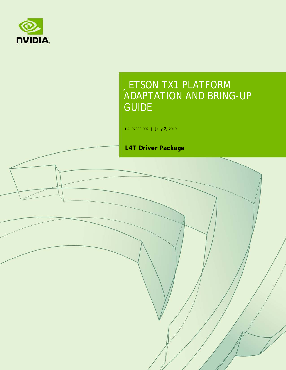

# JETSON TX1 PLATFORM ADAPTATION AND BRING-UP GUIDE

DA\_07839-002 | July 2, 2019

#### **L4T Driver Package**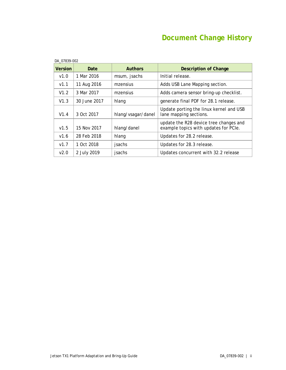# **Document Change History**

|                | DA 07839-002 |                    |                                                                                 |  |  |  |
|----------------|--------------|--------------------|---------------------------------------------------------------------------------|--|--|--|
| <b>Version</b> | Date         | <b>Authors</b>     | <b>Description of Change</b>                                                    |  |  |  |
| V1.0           | 1 Mar 2016   | msum, jsachs       | Initial release.                                                                |  |  |  |
| V1.1           | 11 Aug 2016  | mzensius           | Adds USB Lane Mapping section.                                                  |  |  |  |
| V1.2           | 3 Mar 2017   | mzensius           | Adds camera sensor bring-up checklist.                                          |  |  |  |
| V1.3           | 30 June 2017 | hlang              | generate final PDF for 28.1 release.                                            |  |  |  |
| V1.4           | 3 Oct 2017   | hlang/vsagar/danel | Update porting the linux kernel and USB<br>lane mapping sections.               |  |  |  |
| v1.5           | 15 Nov 2017  | hlang/danel        | update the R28 device tree changes and<br>example topics with updates for PCIe. |  |  |  |
| V1.6           | 28 Feb 2018  | hlang              | Updates for 28.2 release.                                                       |  |  |  |
| V1.7           | 1 Oct 2018   | jsachs             | Updates for 28.3 release.                                                       |  |  |  |
| V2.0           | 2 July 2019  | jsachs             | Updates concurrent with 32.2 release                                            |  |  |  |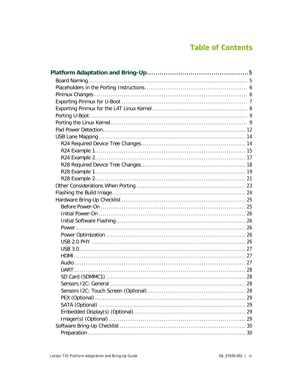## **Table of Contents**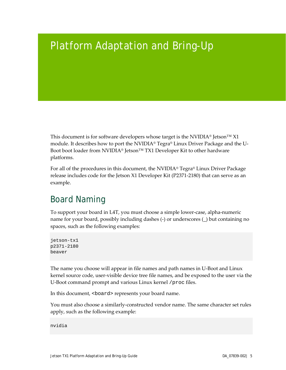# <span id="page-4-0"></span>Platform Adaptation and Bring-Up

This document is for software developers whose target is the NVIDIA<sup>®</sup> Jetson<sup>™</sup> X1 module. It describes how to port the NVIDIA® Tegra® Linux Driver Package and the U-Boot boot loader from NVIDIA® Jetson™ TX1 Developer Kit to other hardware platforms.

For all of the procedures in this document, the NVIDIA® Tegra® Linux Driver Package release includes code for the Jetson X1 Developer Kit (P2371-2180) that can serve as an example.

# <span id="page-4-1"></span>Board Naming

To support your board in L4T, you must choose a simple lower-case, alpha-numeric name for your board, possibly including dashes (-) or underscores (\_) but containing no spaces, such as the following examples:

```
jetson-tx1
p2371-2180
beaver
```
The name you choose will appear in file names and path names in U-Boot and Linux kernel source code, user-visible device tree file names, and be exposed to the user via the U-Boot command prompt and various Linux kernel /proc files.

In this document, <br/>board> represents your board name.

You must also choose a similarly-constructed vendor name. The same character set rules apply, such as the following example:

nvidia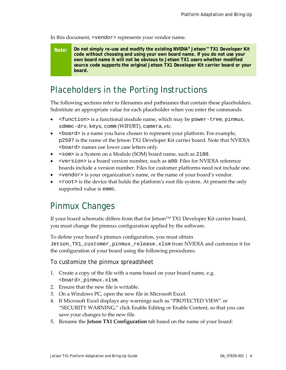In this document, <vendor> represents your vendor name.

**Note: Do not simply re-use and modify the existing NVIDIA® Jetson™ TX1 Developer Kit code without choosing and using your own board name. If you do not use your own board name it will not be obvious to Jetson TX1 users whether modified source code supports the original Jetson TX1 Developer Kit carrier board or your board.**

## <span id="page-5-0"></span>Placeholders in the Porting Instructions

The following sections refer to filenames and pathnames that contain these placeholders. Substitute an appropriate value for each placeholder when you enter the commands.

- <function> is a functional module name, which may be power-tree, pinmux, sdmmc-drv, keys, comm (WIFI/BT), camera, etc.
- $\leq$   $\leq$   $\leq$   $\leq$   $\leq$   $\leq$   $\leq$   $\leq$   $\leq$   $\leq$   $\leq$   $\leq$   $\leq$   $\leq$   $\leq$   $\leq$   $\leq$   $\leq$   $\leq$   $\leq$   $\leq$   $\leq$   $\leq$   $\leq$   $\leq$   $\leq$   $\leq$   $\leq$   $\leq$   $\leq$   $\leq$   $\leq$   $\leq$   $\leq$   $\leq$   $\leq$   $\le$ p2597 is the name of the Jetson TX1 Developer Kit carrier board. Note that NVIDIA <board> names use lower case letters only.
- <som> is a System on a Module (SOM) board name, such as 2180.
- <version> is a board version number, such as a00. Files for NVIDIA reference boards include a version number. Files for customer platforms need not include one.
- <vendor> is your organization's name, or the name of your board's vendor.
- <root> is the device that holds the platform's root file system. At present the only supported value is emmc.

## <span id="page-5-1"></span>Pinmux Changes

If your board schematic differs from that for Jetson<sup>™</sup> TX1 Developer Kit carrier board, you must change the pinmux configuration applied by the software.

To define your board's pinmux configuration, you must obtain Jetson\_TX1\_customer\_pinmux\_release.xlsm from NVIDIA and customize it for the configuration of your board using the following procedures.

To customize the pinmux spreadsheet

- 1. Create a copy of the file with a name based on your board name, e.g. <board>\_pinmux.xlsm.
- 2. Ensure that the new file is writable.
- 3. On a Windows PC, open the new file in Microsoft Excel.
- 4. If Microsoft Excel displays any warnings such as "PROTECTED VIEW" or "SECURITY WARNING," click Enable Editing or Enable Content, so that you can save your changes to the new file.
- 5. Rename the **Jetson TX1 Configuration** tab based on the name of your board: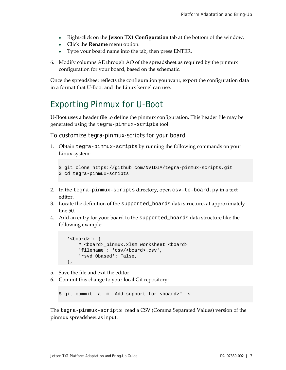- Right-click on the **Jetson TX1 Configuration** tab at the bottom of the window.
- Click the **Rename** menu option.
- Type your board name into the tab, then press ENTER.
- 6. Modify columns AE through AO of the spreadsheet as required by the pinmux configuration for your board, based on the schematic.

Once the spreadsheet reflects the configuration you want, export the configuration data in a format that U-Boot and the Linux kernel can use.

## <span id="page-6-0"></span>Exporting Pinmux for U-Boot

U-Boot uses a header file to define the pinmux configuration. This header file may be generated using the tegra-pinmux-scripts tool.

To customize tegra-pinmux-scripts for your board

1. Obtain tegra-pinmux-scripts by running the following commands on your Linux system:

```
$ git clone https://github.com/NVIDIA/tegra-pinmux-scripts.git
$ cd tegra-pinmux-scripts
```
- 2. In the tegra-pinmux-scripts directory, open csv-to-board.py in a text editor.
- 3. Locate the definition of the supported\_boards data structure, at approximately line 50.
- 4. Add an entry for your board to the supported\_boards data structure like the following example:

```
 '<board>': {
    # <board>_pinmux.xlsm worksheet <board>
    'filename': 'csv/<board>.csv',
     'rsvd_0based': False,
 },
```
- 5. Save the file and exit the editor.
- 6. Commit this change to your local Git repository:

\$ git commit -a -m "Add support for <br/>board>" -s

The tegra-pinmux-scripts read a CSV (Comma Separated Values) version of the pinmux spreadsheet as input.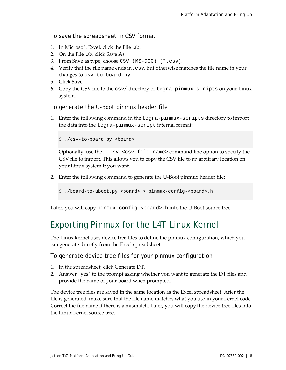#### To save the spreadsheet in CSV format

- 1. In Microsoft Excel, click the File tab.
- 2. On the File tab, click Save As.
- 3. From Save as type, choose CSV (MS-DOC) (\*.csv).
- 4. Verify that the file name ends in.csv, but otherwise matches the file name in your changes to csv-to-board.py.
- 5. Click Save.
- 6. Copy the CSV file to the csv/ directory of tegra-pinmux-scripts on your Linux system.

To generate the U-Boot pinmux header file

1. Enter the following command in the tegra-pinmux-scripts directory to import the data into the tegra-pinmux-script internal format:

\$ ./csv-to-board.py <board>

Optionally, use the --csv <csv\_file\_name> command line option to specify the CSV file to import. This allows you to copy the CSV file to an arbitrary location on your Linux system if you want.

- 2. Enter the following command to generate the U-Boot pinmux header file:
	- \$ ./board-to-uboot.py <br/>board> > pinmux-config-<br/>board>.h

Later, you will copy pinmux-config-<br/>board>.h into the U-Boot source tree.

## <span id="page-7-0"></span>Exporting Pinmux for the L4T Linux Kernel

The Linux kernel uses device tree files to define the pinmux configuration, which you can generate directly from the Excel spreadsheet.

To generate device tree files for your pinmux configuration

- 1. In the spreadsheet, click Generate DT.
- 2. Answer "yes" to the prompt asking whether you want to generate the DT files and provide the name of your board when prompted.

The device tree files are saved in the same location as the Excel spreadsheet. After the file is generated, make sure that the file name matches what you use in your kernel code. Correct the file name if there is a mismatch. Later, you will copy the device tree files into the Linux kernel source tree.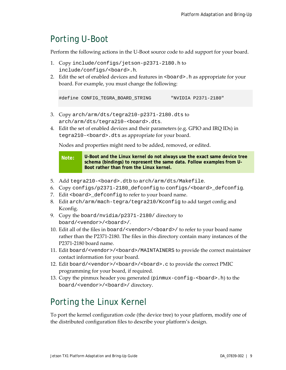# <span id="page-8-0"></span>Porting U-Boot

Perform the following actions in the U-Boot source code to add support for your board.

- 1. Copy include/configs/jetson-p2371-2180.h to include/configs/<board>.h.
- 2. Edit the set of enabled devices and features in <br/>board>.h as appropriate for your board. For example, you must change the following:

#define CONFIG\_TEGRA\_BOARD\_STRING "NVIDIA P2371-2180"

- 3. Copy arch/arm/dts/tegra210-p2371-2180.dts to arch/arm/dts/tegra210-<br/>board>.dts.
- 4. Edit the set of enabled devices and their parameters (e.g. GPIO and IRQ IDs) in tegra210-<br/>board>.dts as appropriate for your board.

Nodes and properties might need to be added, removed, or edited.

**Note: U-Boot and the Linux kernel do not always use the exact same device tree schema (bindings) to represent the same data. Follow examples from U-Boot rather than from the Linux kernel.**

- 5. Add tegra210-<br/>board>.dtb to arch/arm/dts/Makefile.
- 6. Copy configs/p2371-2180\_defconfig to configs/<board>\_defconfig.
- 7. Edit <board>\_defconfig to refer to your board name.
- 8. Edit arch/arm/mach-tegra/tegra210/Kconfig to add target config and Kconfig.
- 9. Copy the board/nvidia/p2371-2180/ directory to board/<vendor>/<br/>board>/.
- 10. Edit all of the files in board/<vendor>/<board>/ to refer to your board name rather than the P2371-2180. The files in this directory contain many instances of the P2371-2180 board name.
- 11. Edit board/<vendor>/<board>/MAINTAINERS to provide the correct maintainer contact information for your board.
- 12. Edit board/<vendor>/<br/>board>/<br/>choard>.c to provide the correct PMIC programming for your board, if required.
- 13. Copy the pinmux header you generated (pinmux-config-<board>.h) to the board/<vendor>/<br/>board>/ directory.

# <span id="page-8-1"></span>Porting the Linux Kernel

To port the kernel configuration code (the device tree) to your platform, modify one of the distributed configuration files to describe your platform's design.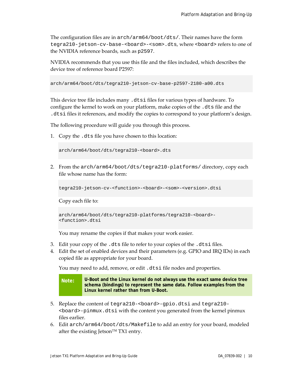The configuration files are in arch/arm64/boot/dts/. Their names have the form tegra210-jetson-cv-base-<board>-<som>.dts, where <board>refers to one of the NVIDIA reference boards, such as p2597.

NVIDIA recommends that you use this file and the files included, which describes the device tree of reference board P2597:

```
arch/arm64/boot/dts/tegra210-jetson-cv-base-p2597-2180-a00.dts
```
This device tree file includes many .dtsi files for various types of hardware. To configure the kernel to work on your platform, make copies of the .dts file and the .dtsi files it references, and modify the copies to correspond to your platform's design.

The following procedure will guide you through this process.

1. Copy the .dts file you have chosen to this location:

arch/arm64/boot/dts/tegra210-<br/>board>.dts

2. From the arch/arm64/boot/dts/tegra210-platforms/ directory, copy each file whose name has the form:

tegra210-jetson-cv-<function>-<board>-<som>-<version>.dtsi

Copy each file to:

```
arch/arm64/boot/dts/tegra210-platforms/tegra210-<br/>board>-
<function>.dtsi
```
You may rename the copies if that makes your work easier.

- 3. Edit your copy of the .dts file to refer to your copies of the .dtsi files.
- 4. Edit the set of enabled devices and their parameters (e.g. GPIO and IRQ IDs) in each copied file as appropriate for your board.

You may need to add, remove, or edit .dtsi file nodes and properties.

**Note: U-Boot and the Linux kernel do not always use the exact same device tree schema (bindings) to represent the same data. Follow examples from the Linux kernel rather than from U-Boot.**

- 5. Replace the content of tegra210-<board>-gpio.dtsi and tegra210- <board>-pinmux.dtsi with the content you generated from the kernel pinmux files earlier.
- 6. Edit arch/arm64/boot/dts/Makefile to add an entry for your board, modeled after the existing Jetson™ TX1 entry.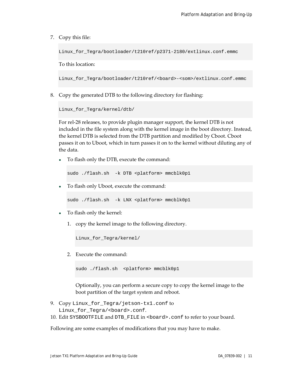7. Copy this file:

Linux\_for\_Tegra/bootloader/t210ref/p2371-2180/extlinux.conf.emmc

To this location:

Linux\_for\_Tegra/bootloader/t210ref/<board>-<som>/extlinux.conf.emmc

8. Copy the generated DTB to the following directory for flashing:

```
Linux_for_Tegra/kernel/dtb/
```
For rel-28 releases, to provide plugin manager support, the kernel DTB is not included in the file system along with the kernel image in the boot directory. Instead, the kernel DTB is selected from the DTB partition and modified by Cboot. Cboot passes it on to Uboot, which in turn passes it on to the kernel without diluting any of the data.

• To flash only the DTB, execute the command:

sudo ./flash.sh -k DTB <platform> mmcblk0p1

• To flash only Uboot, execute the command:

sudo ./flash.sh -k LNX <platform> mmcblk0p1

- To flash only the kernel:
	- 1. copy the kernel image to the following directory.

Linux\_for\_Tegra/kernel/

2. Execute the command:

sudo ./flash.sh <platform> mmcblk0p1

Optionally, you can perform a secure copy to copy the kernel image to the boot partition of the target system and reboot.

- 9. Copy Linux\_for\_Tegra/jetson-tx1.conf to Linux\_for\_Tegra/<board>.conf.
- 10. Edit SYSBOOTFILE and DTB\_FILE in <br/>board>.conf to refer to your board.

Following are some examples of modifications that you may have to make.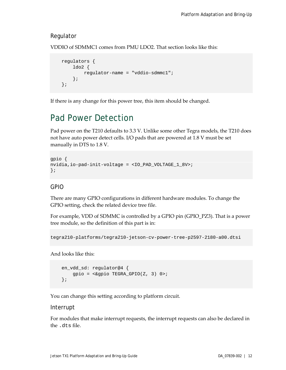#### Regulator

VDDIO of SDMMC1 comes from PMU LDO2. That section looks like this:

```
 regulators {
     ldo2 {
        regulator-name = "vddio-sdmmc1";
     };
 };
```
If there is any change for this power tree, this item should be changed.

# <span id="page-11-0"></span>Pad Power Detection

Pad power on the T210 defaults to 3.3 V. Unlike some other Tegra models, the T210 does not have auto power detect cells. I/O pads that are powered at 1.8 V must be set manually in DTS to 1.8 V.

```
gpio {
nvidia,io-pad-init-voltage = <IO_PAD_VOLTAGE_1_8V>; 
};
```
#### GPIO

There are many GPIO configurations in different hardware modules. To change the GPIO setting, check the related device tree file.

For example, VDD of SDMMC is controlled by a GPIO pin (GPIO\_PZ3). That is a power tree module, so the definition of this part is in:

```
tegra210-platforms/tegra210-jetson-cv-power-tree-p2597-2180-a00.dtsi
```
And looks like this:

```
 en_vdd_sd: regulator@4 {
    gpio = <&gpio TEGRA_GPIO(Z, 3) 0>;
 };
```
You can change this setting according to platform circuit.

#### Interrupt

For modules that make interrupt requests, the interrupt requests can also be declared in the .dts file.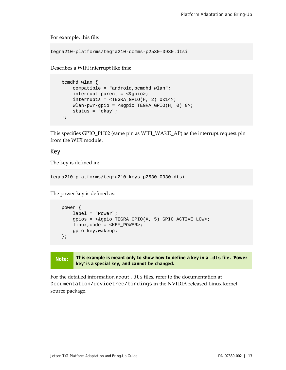For example, this file:

```
tegra210-platforms/tegra210-comms-p2530-0930.dtsi
```
Describes a WIFI interrupt like this:

```
 bcmdhd_wlan {
    compatible = "android,bcmdhd_wlan";
     interrupt-parent = <&gpio>;
   interval = <b>TEGRA_GPIO(H, 2)</b> 0x14>;
    wlan-pwr-gpio = <&gpio TEGRA_GPIO(H, 0) 0>;
    status = "okay";
 };
```
This specifies GPIO\_PH02 (same pin as WIFI\_WAKE\_AP) as the interrupt request pin from the WIFI module.

Key

The key is defined in:

tegra210-platforms/tegra210-keys-p2530-0930.dtsi

The power key is defined as:

```
 power {
     label = "Power";
    qpios = \langle \&qpio TEGRA GPIO(X, 5) GPIO ACTIVE LOW>;
     linux,code = <KEY_POWER>;
     gpio-key,wakeup;
 };
```
**Note: This example is meant only to show how to define a key in a .dts file. 'Power key' is a special key, and** *cannot* **be changed.**

For the detailed information about .dts files, refer to the documentation at Documentation/devicetree/bindings in the NVIDIA released Linux kernel source package.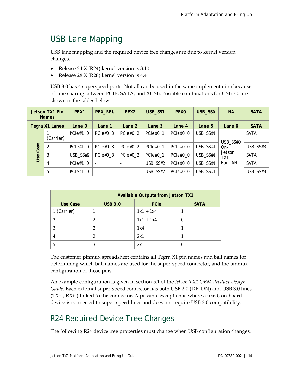# <span id="page-13-0"></span>USB Lane Mapping

USB lane mapping and the required device tree changes are due to kernel version changes.

- Release 24.X (R24) kernel version is 3.10
- Release 28.X (R28) kernel version is 4.4

USB 3.0 has 4 superspeed ports. Not all can be used in the same implementation because of lane sharing between PCIE, SATA, and XUSB. Possible combinations for USB 3.0 are shown in the tables below.

| Jetson TX1 Pin<br><b>Names</b> |           | PEX <sub>1</sub> | <b>PEX_RFU</b>           | PEX <sub>2</sub>         | USB_SS1    | <b>PEXO</b> | USB_SSO  | <b>NA</b>                | <b>SATA</b> |
|--------------------------------|-----------|------------------|--------------------------|--------------------------|------------|-------------|----------|--------------------------|-------------|
| Tegra X1 Lanes                 |           | Lane 0           | Lane 1                   | Lane 2                   | Lane 3     | Lane 4      | Lane $5$ | Lane 6                   | <b>SATA</b> |
|                                | (Carrier) | $PCle#1_0$       | PCIe $#0$ 3              | PCle#0 2                 | PCIe#0 1   | PCIe#0 0    | USB_SS#1 | USB_SS#0                 | <b>SATA</b> |
| Case                           | 2         | PCIe#1 0         | $PCle#0_3$               | $PCle#0_2$               | $PCle#0_1$ | PCIe#0 0    | USB_SS#1 | On-                      | USB_SS#3    |
| Use                            | 3         | USB_SS#2         | $PCle#0_3$               | $PCle#0_2$               | PCIe#0_1   | PCIe#0_0    | USB_SS#1 | Jetson<br>TX1<br>For LAN | <b>SATA</b> |
|                                | 4         | $PCle#1_0$       | $\blacksquare$           |                          | USB_SS#2   | PCIe#0 0    | USB_SS#1 |                          | <b>SATA</b> |
|                                | 5         | $PCle#1_0$       | $\overline{\phantom{a}}$ | $\overline{\phantom{a}}$ | USB_SS#2   | PCIe#0_0    | USB_SS#1 |                          | USB_SS#3    |

|             | <b>Available Outputs from Jetson TX1</b> |             |             |  |  |
|-------------|------------------------------------------|-------------|-------------|--|--|
| Use Case    | <b>USB 3.0</b>                           | <b>PCIe</b> | <b>SATA</b> |  |  |
| 1 (Carrier) |                                          | $1x1 + 1x4$ |             |  |  |
|             |                                          | $1x1 + 1x4$ |             |  |  |
|             |                                          | 1x4         |             |  |  |
|             |                                          | 2x1         |             |  |  |
| 5           |                                          | 2x1         |             |  |  |

The customer pinmux spreadsheet contains all Tegra X1 pin names and ball names for determining which ball names are used for the super-speed connector, and the pinmux configuration of those pins.

An example configuration is given in section 5.1 of the *Jetson TX1 OEM Product Design Guide.* Each external super-speed connector has both USB 2.0 (DP, DN) and USB 3.0 lines (TX+-, RX+-) linked to the connector. A possible exception is where a fixed, on-board device is connected to super-speed lines and does not require USB 2.0 compatibility.

# <span id="page-13-1"></span>R24 Required Device Tree Changes

The following R24 device tree properties must change when USB configuration changes.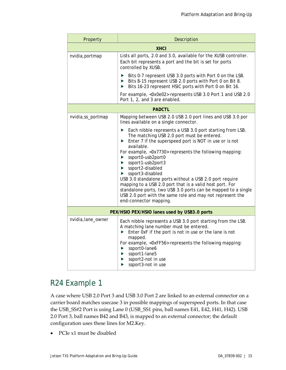| Property                                     | Description                                                                                                                                                                                                                                                                                                                                                                                                                                                                                                                                                                                                                                           |  |  |  |
|----------------------------------------------|-------------------------------------------------------------------------------------------------------------------------------------------------------------------------------------------------------------------------------------------------------------------------------------------------------------------------------------------------------------------------------------------------------------------------------------------------------------------------------------------------------------------------------------------------------------------------------------------------------------------------------------------------------|--|--|--|
|                                              | <b>XHCI</b>                                                                                                                                                                                                                                                                                                                                                                                                                                                                                                                                                                                                                                           |  |  |  |
| nvidia, portmap                              | Lists all ports, 2.0 and 3.0, available for the XUSB controller.<br>Each bit represents a port and the bit is set for ports<br>controlled by XUSB.<br>Bits 0-7 represent USB 3.0 ports with Port 0 on the LSB.<br>▶                                                                                                                                                                                                                                                                                                                                                                                                                                   |  |  |  |
|                                              | Bits 8-15 represent USB 2.0 ports with Port 0 on Bit 8.<br>Bits 16-23 represent HSIC ports with Port 0 on Bit 16.<br>▶                                                                                                                                                                                                                                                                                                                                                                                                                                                                                                                                |  |  |  |
|                                              | For example, <0x0e02> represents USB 3.0 Port 1 and USB 2.0<br>Port 1, 2, and 3 are enabled.                                                                                                                                                                                                                                                                                                                                                                                                                                                                                                                                                          |  |  |  |
|                                              | <b>PADCTL</b>                                                                                                                                                                                                                                                                                                                                                                                                                                                                                                                                                                                                                                         |  |  |  |
| nvidia, ss_portmap                           | Mapping between USB 2.0 USB 2.0 port lines and USB 3.0 por<br>lines available on a single connector.                                                                                                                                                                                                                                                                                                                                                                                                                                                                                                                                                  |  |  |  |
|                                              | Each nibble represents a USB 3.0 port starting from LSB.<br>▶<br>The matching USB 2.0 port must be entered.<br>Enter 7 if the superspeed port is NOT in use or is not<br>▶<br>available.<br>For example, <0x7730> represents the following mapping:<br>ssport0-usb2port0<br>▶<br>ssport1-usb2port3<br>▶<br>$\triangleright$ ssport2-disabled<br>ssport3-disabled<br>▶.<br>USB 3.0 standalone ports without a USB 2.0 port require<br>mapping to a USB 2.0 port that is a valid host port. For<br>standalone ports, two USB 3.0 ports can be mapped to a single<br>USB 2.0 port with the same role and may not represent the<br>end-connector mapping. |  |  |  |
| PEX/HSIO PEX/HSIO lanes used by USB3.0 ports |                                                                                                                                                                                                                                                                                                                                                                                                                                                                                                                                                                                                                                                       |  |  |  |
| nvidia, lane_owner                           | Each nibble represents a USB 3.0 port starting from the LSB.<br>A matching lane number must be entered.<br>Enter 0xF if the port is not in use or the lane is not<br>$\blacktriangleright$<br>mapped.<br>For example, <0xFF56> represents the following mapping:<br>ssport0-lane6<br>▶<br>ssport1-lane5<br>▶<br>ssport2-not in use<br>▶<br>ssport3-not in use                                                                                                                                                                                                                                                                                         |  |  |  |

### <span id="page-14-0"></span>R24 Example 1

A case where USB 2.0 Port 3 and USB 3.0 Port 2 are linked to an external connector on a carrier board matches usecase 3 in possible mappings of superspeed ports. In that case the USB\_SS#2 Port is using Lane 0 (USB\_SS1 pins, ball names E41, E42, H41, H42). USB 2.0 Port 3, ball names B42 and B43, is mapped to an external connector; the default configuration uses these lines for M2.Key.

• PCIe x1 must be disabled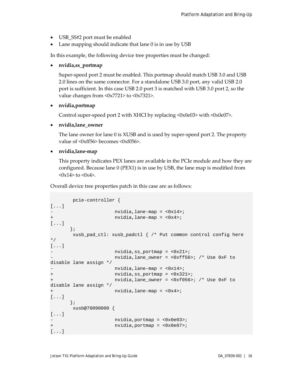- USB\_SS#2 port must be enabled
- Lane mapping should indicate that lane 0 is in use by USB

In this example, the following device tree properties must be changed:

#### • **nvidia,ss\_portmap**

Super-speed port 2 must be enabled. This portmap should match USB 3.0 and USB 2.0 lines on the same connector. For a standalone USB 3.0 port, any valid USB 2.0 port is sufficient. In this case USB 2.0 port 3 is matched with USB 3.0 port 2, so the value changes from <0x7721> to <0x7321>.

#### • **nvidia,portmap**

Control super-speed port 2 with XHCI by replacing <0x0e03> with <0x0e07>.

#### • **nvidia,lane\_owner**

The lane owner for lane 0 is XUSB and is used by super-speed port 2. The property value of <0xff56> becomes <0xf056>.

#### • **nvidia,lane-map**

This property indicates PEX lanes are available in the PCIe module and how they are configured. Because lane 0 (PEX1) is in use by USB, the lane map is modified from  $\langle 0x14 \rangle$  to  $\langle 0x4 \rangle$ .

Overall device tree properties patch in this case are as follows:

```
 pcie-controller {
[...]
- nvidia,lane-map = <0x14>;
+ nvidia,lane-map = <0x4>;
[...]
      };
       xusb_pad_ctl: xusb_padctl { /* Put common control config here 
*/
[...]
                   nvidia,ss portmap = <0x21>;
                   nvidia, lane_owner = <0xff56>; /* Use 0xF to
disable lane assign */
                  nvidia,lane-map = <0x14+ nvidia,ss_portmap = <0x321>;
                  nvidia, lane_owner = <0xf056>; /* Use 0xF to
disable lane assign */
+ nvidia,lane-map = <0x4>;
[...]
      };
       xusb@70090000 {
[...]
                   nvidia, portmap = <0x0e03>;
+ nvidia,portmap = <0x0e07>;
[...]
```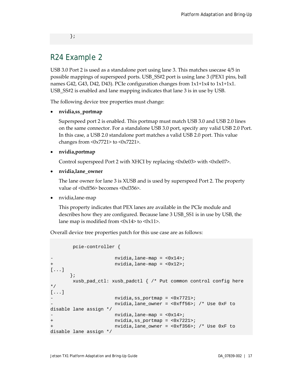};

### <span id="page-16-0"></span>R24 Example 2

USB 3.0 Port 2 is used as a standalone port using lane 3. This matches usecase 4/5 in possible mappings of superspeed ports. USB\_SS#2 port is using lane 3 (PEX1 pins, ball names G42, G43, D42, D43). PCIe configuration changes from 1x1+1x4 to 1x1+1x1. USB\_SS#2 is enabled and lane mapping indicates that lane 3 is in use by USB.

The following device tree properties must change:

• **nvidia,ss\_portmap**

Superspeed port 2 is enabled. This portmap must match USB 3.0 and USB 2.0 lines on the same connector. For a standalone USB 3.0 port, specify any valid USB 2.0 Port. In this case, a USB 2.0 standalone port matches a valid USB 2.0 port. This value changes from <0x7721> to <0x7221>.

• **nvidia,portmap**

Control superspeed Port 2 with XHCI by replacing <0x0e03> with <0x0e07>.

• **nvidia,lane\_owner**

The lane owner for lane 3 is XUSB and is used by superspeed Port 2. The property value of <0xff56> becomes <0xf356>.

• nvidia,lane-map

This property indicates that PEX lanes are available in the PCIe module and describes how they are configured. Because lane 3 USB\_SS1 is in use by USB, the lane map is modified from  $\langle 0x14 \rangle$  to  $\langle 0x11 \rangle$ .

Overall device tree properties patch for this use case are as follows:

```
 pcie-controller {
                    nvidia,lane-map = <0x14;
+ nvidia,lane-map = <0x12>;
[...]
       };
       xusb_pad_ctl: xusb_padctl { /* Put common control config here 
*/
[...]
- nvidia,ss_portmap = <0x7721>;
                    nvidia, lane owner = <0xff56>; /* Use 0xF to
disable lane assign */
                    nvidia,lane-map = <0x14;
+ nvidia,ss_portmap = <0x7221>;
                   nvidia, lane_owner = <0xf356>; /* Use 0xF to
disable lane assign */
```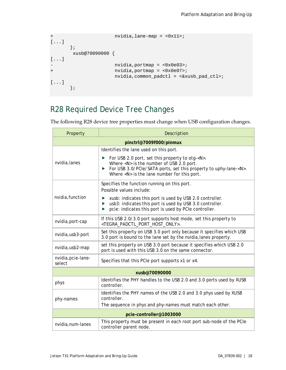```
+ nvidia,lane-map = <0x11>;
[...]
      };
      xusb@70090000 {
[...]
- nvidia,portmap = <0x0e03>;
+ nvidia,portmap = <0x0e07>;
                  nvidia,common_padctl = <&xusb_pad_ctl>;
[...]
      };
```
## <span id="page-17-0"></span>R28 Required Device Tree Changes

The following R28 device tree properties must change when USB configuration changes.

| Property                                                                                                                                                       | Description                                                                                                                                                                                                                                                                   |  |  |  |
|----------------------------------------------------------------------------------------------------------------------------------------------------------------|-------------------------------------------------------------------------------------------------------------------------------------------------------------------------------------------------------------------------------------------------------------------------------|--|--|--|
| pinctrl@7009f000/pinmux                                                                                                                                        |                                                                                                                                                                                                                                                                               |  |  |  |
|                                                                                                                                                                | Identifies the lane used on this port.                                                                                                                                                                                                                                        |  |  |  |
| nvidia, lanes                                                                                                                                                  | For USB 2.0 port, set this property to otg- <n>.<br/>▶<br/>Where <n> is the number of USB 2.0 port.<br/>For USB 3.0/PCle/SATA ports, set this property to uphy-lane-<n>.<br/><math>\blacktriangleright</math><br/>Where <n> is the lane number for this port.</n></n></n></n> |  |  |  |
|                                                                                                                                                                | Specifies the function running on this port.<br>Possible values include:                                                                                                                                                                                                      |  |  |  |
| nvidia, function                                                                                                                                               | xusb: indicates this port is used by USB 2.0 controller.<br>usb3: indicates this port is used by USB 3.0 controller.<br>▶<br>pcie: indicates this port is used by PCIe controller.<br>▶                                                                                       |  |  |  |
| nvidia, port-cap                                                                                                                                               | If this USB 2.0/3.0 port supports host mode, set this property to<br><tegra_padctl_port_host_only>.</tegra_padctl_port_host_only>                                                                                                                                             |  |  |  |
| Set this property on USB 3.0 port only because it specifies which USB<br>nvidia, usb3-port<br>3.0 port is bound to the lane set by the nvidia, lanes property. |                                                                                                                                                                                                                                                                               |  |  |  |
| nvidia, usb2-map                                                                                                                                               | set this property on USB 3.0 port because it specifies which USB 2.0<br>port is used with this USB 3.0 on the same connector.                                                                                                                                                 |  |  |  |
| nvidia, pcie-lane-<br>select                                                                                                                                   | Specifies that this PCIe port supports x1 or x4.                                                                                                                                                                                                                              |  |  |  |
|                                                                                                                                                                | xusb@70090000                                                                                                                                                                                                                                                                 |  |  |  |
| phys                                                                                                                                                           | Identifies the PHY handles to the USB 2.0 and 3.0 ports used by XUSB<br>controller.                                                                                                                                                                                           |  |  |  |
| phy-names                                                                                                                                                      | Identifies the PHY names of the USB 2.0 and 3.0 phys used by XUSB<br>controller.<br>The sequence in phys and phy-names must match each other.                                                                                                                                 |  |  |  |
|                                                                                                                                                                | pcie-controller@1003000                                                                                                                                                                                                                                                       |  |  |  |
| nvidia, num-lanes                                                                                                                                              | This property must be present in each root port sub-node of the PCIe<br>controller parent node.                                                                                                                                                                               |  |  |  |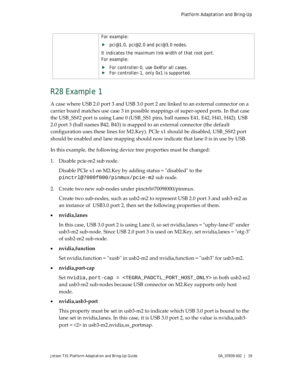| For example:                                                                                              |
|-----------------------------------------------------------------------------------------------------------|
| pci@1,0, pci@2,0 and pci@3,0 nodes.                                                                       |
| It indicates the maximum link width of that root port.<br>For example:                                    |
| $\blacktriangleright$ For controller-0, use 0x4for all cases.<br>For controller-1, only 0x1 is supported. |

## <span id="page-18-0"></span>R28 Example 1

A case where USB 2.0 port 3 and USB 3.0 port 2 are linked to an external connector on a carrier board matches use case 3 in possible mappings of super-speed ports. In that case the USB\_SS#2 port is using Lane 0 (USB\_SS1 pins, ball names E41, E42, H41, H42). USB 2.0 port 3 (ball names B42, B43) is mapped to an external connector (the default configuration uses these lines for M2.Key). PCIe x1 should be disabled, USB\_SS#2 port should be enabled and lane mapping should now indicate that lane 0 is in use by USB.

In this example, the following device tree properties must be changed:

1. Disable pcie-m2 sub node.

Disable PCIe x1 on M2.Key by adding status = "disabled" to the pinctrl@7009f000/pinmux/pcie-m2 sub node.

2. Create two new sub-nodes under pinctrl@7009f000/pinmux.

Create two sub-nodes, such as usb2-m2 to represent USB 2.0 port 3 and usb3-m2 as an instance of USB3.0 port 2, then set the following properties of them.

• **nvidia,lanes**

In this case, USB 3.0 port 2 is using Lane 0, so set nvidia,lanes = "uphy-lane-0" under usb3-m2 sub-node. Since USB 2.0 port 3 is used on M2.Key, set nvidia,lanes = "otg-3" of usb2-m2 sub-node.

#### • **nvidia,function**

Set nvidia,function = "xusb" in usb2-m2 and nvidia,function = "usb3" for usb3-m2.

• **nvidia,port-cap**

Set nvidia,port-cap = <TEGRA\_PADCTL\_PORT\_HOST\_ONLY> in both usb2-m2 and usb3-m2 sub-nodes because USB connector on M2.Key supports only host mode.

#### • **nvidia,usb3-port**

This property must be set in usb3-m2 to indicate which USB 3.0 port is bound to the lane set in nvidia,lanes. In this case, it is USB 3.0 port 2, so the value is nvidia,usb3 port = <2> in usb3-m2.nvidia,ss\_portmap.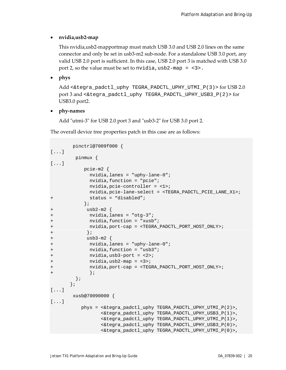#### • **nvidia,usb2-map**

This nvidia,usb2-mapportmap must match USB 3.0 and USB 2.0 lines on the same connector and only be set in usb3-m2 sub-node. For a standalone USB 3.0 port, any valid USB 2.0 port is sufficient. In this case, USB 2.0 port 3 is matched with USB 3.0 port 2, so the value must be set to nvidia,  $\text{usb2-map} = \text{<3>}.$ 

#### • **phys**

Add <&tegra\_padctl\_uphy TEGRA\_PADCTL\_UPHY\_UTMI\_P(3)> for USB 2.0 port 3 and <&tegra\_padctl\_uphy TEGRA\_PADCTL\_UPHY\_USB3\_P(2)> for USB3.0 port2.

• **phy-names**

Add "utmi-3" for USB 2.0 port 3 and "usb3-2" for USB 3.0 port 2.

The overall device tree properties patch in this case are as follows:

```
 pinctrl@7009f000 { 
[...]
          pinmux {
[...]
             pcie-m2 {
                nvidia,lanes = "uphy-lane-0";
                nvidia,function = "pcie";
                nvidia,pcie-controller = <1>;
                nvidia,pcie-lane-select = <TEGRA_PADCTL_PCIE_LANE_X1>;
+ status = "disabled";
              };
+ usb2-m2 {
+ nvidia,lanes = "otg-3";
+ nvidia,function = "xusb";
+ nvidia,port-cap = <TEGRA_PADCTL_PORT_HOST_ONLY>;<br>+ };<br>usb3-m2 {
              \vert \cdot \vert+ usb3-m2 {<br>+ nvidia,1
+ nvidia, lanes = "uphy-lane-0";<br>+ nvidia, function = "usb3";<br>+ nvidia, usb3-port = <2>;<br>+ nvidia, usb2-map = <3>;
              nvidia, function = "usb3";nvidia, usb3-port = <math>\langle 2 \rangle</math>;+ nvidia,usb2-map = <3>;
               + nvidia,port-cap = <TEGRA_PADCTL_PORT_HOST_ONLY>;
+ } } }
          };
        };
[...]
         xusb@70090000 {
[...]
             phys = <&tegra_padctl_uphy TEGRA_PADCTL_UPHY_UTMI_P(2)>,
                     <&tegra_padctl_uphy TEGRA_PADCTL_UPHY_USB3_P(1)>,
                   <&tegra_padctl_uphy TEGRA_PADCTL_UPHY_UTMI_P(1)>,
                    <&tegra_padctl_uphy TEGRA_PADCTL_UPHY_USB3_P(0)>,
                    <&tegra_padctl_uphy TEGRA_PADCTL_UPHY_UTMI_P(0)>,
```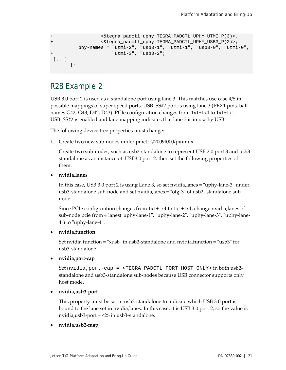```
+ <&tegra_padctl_uphy TEGRA_PADCTL_UPHY_UTMI_P(3)>,
+ <&tegra_padctl_uphy TEGRA_PADCTL_UPHY_USB3_P(2)>;
         phy-names = "utmi-2", "usb3-1", "utmi-1", "usb3-0", "utmi-0",
                   "utmi-3", "usb3-2";
[...]
       };
```
#### <span id="page-20-0"></span>R28 Example 2

USB 3.0 port 2 is used as a standalone port using lane 3. This matches use case 4/5 in possible mappings of super speed ports. USB\_SS#2 port is using lane 3 (PEX1 pins, ball names G42, G43, D42, D43). PCIe configuration changes from 1x1+1x4 to 1x1+1x1. USB\_SS#2 is enabled and lane mapping indicates that lane 3 is in use by USB.

The following device tree properties must change:

1. Create two new sub-nodes under pinctrl@7009f000/pinmux.

Create two sub-nodes, such as usb2-standalone to represent USB 2.0 port 3 and usb3 standalone as an instance of USB3.0 port 2, then set the following properties of them.

• **nvidia,lanes**

In this case, USB 3.0 port 2 is using Lane 3, so set nvidia,lanes = "uphy-lane-3" under usb3-standalone sub-node and set nvidia,lanes = "otg-3" of usb2- standalone sub node.

Since PCIe configuration changes from 1x1+1x4 to 1x1+1x1, change nvidia,lanes of sub-node pcie from 4 lanes("uphy-lane-1", "uphy-lane-2", "uphy-lane-3", "uphy-lane-4") to "uphy-lane-4".

#### • **nvidia,function**

Set nvidia,function = "xusb" in usb2-standalone and nvidia,function = "usb3" for usb3-standalone.

• **nvidia,port-cap**

Set nvidia,port-cap = <TEGRA\_PADCTL\_PORT\_HOST\_ONLY> in both usb2 standalone and usb3-standalone sub-nodes because USB connector supports only host mode.

#### • **nvidia,usb3-port**

This property must be set in usb3-standalone to indicate which USB 3.0 port is bound to the lane set in nvidia,lanes. In this case, it is USB 3.0 port 2, so the value is nvidia,usb3-port = <2> in usb3-standalone.

#### • **nvidia,usb2-map**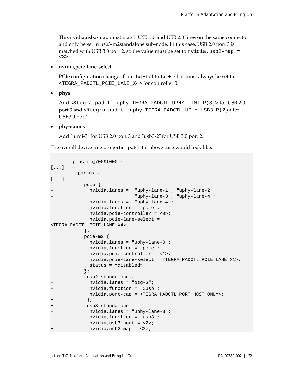This nvidia,usb2-map must match USB 3.0 and USB 2.0 lines on the same connector and only be set in usb3-m2standalone sub-node. In this case, USB 2.0 port 3 is matched with USB 3.0 port 2, so the value must be set to nvidia, usb2-map = <3>.

• **nvidia,pcie-lane-select**

PCIe configuration changes from  $1x1+1x4$  to  $1x1+1x1$ , it must always be set to <TEGRA\_PADCTL\_PCIE\_LANE\_X4> for controller 0.

• **phys**

Add <&tegra\_padctl\_uphy TEGRA\_PADCTL\_UPHY\_UTMI\_P(3)> for USB 2.0 port 3 and <&tegra\_padctl\_uphy TEGRA\_PADCTL\_UPHY\_USB3\_P(2)> for USB3.0 port2.

• **phy-names**

Add "utmi-3" for USB 2.0 port 3 and "usb3-2" for USB 3.0 port 2.

The overall device tree properties patch for above case would look like:

```
 pinctrl@7009f000 { 
[...]
        pinmux {
[...]
           pcie {
           - nvidia,lanes = "uphy-lane-1", "uphy-lane-2",
                          - "uphy-lane-3", "uphy-lane-4";
+ nvidia,lanes = "uphy-lane-4";
             nvidia,function = "pcie";
             nvidia,pcie-controller = <0>;
             nvidia,pcie-lane-select =
<TEGRA_PADCTL_PCIE_LANE_X4>
           };
           pcie-m2 {
             nvidia,lanes = "uphy-lane-0";
             nvidia,function = "pcie";
             nvidia,pcie-controller = <1>;
             nvidia,pcie-lane-select = <TEGRA_PADCTL_PCIE_LANE_X1>;
+ status = "disabled";
           };
+ usb2-standalone {
+ nvidia,lanes = "otg-3";
+ nvidia,function = "xusb";
+ nvidia,port-cap = <TEGRA_PADCTL_PORT_HOST_ONLY>;
+ };
           usb3-standalone {
+ nvidia,lanes = "uphy-lane-3";
           nvidia, function = "usb3";
+ nvidia,usb3-port = <2>;
            nvidia, usb2-map = <3>;
```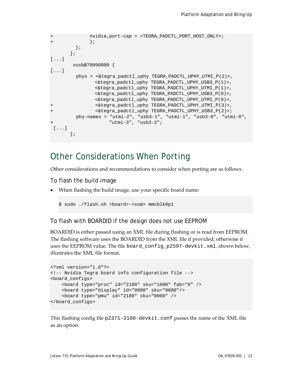```
+ nvidia,port-cap = <TEGRA_PADCTL_PORT_HOST_ONLY>;
+ } }
        };
       };
[...]
       xusb@70090000 {
[...]
        phys = <&tegra_padctl_uphy TEGRA_PADCTL_UPHY_UTMI_P(2)>,
               <&tegra_padctl_uphy TEGRA_PADCTL_UPHY_USB3_P(1)>,
               <&tegra_padctl_uphy TEGRA_PADCTL_UPHY_UTMI_P(1)>,
               <&tegra_padctl_uphy TEGRA_PADCTL_UPHY_USB3_P(0)>,
               <&tegra_padctl_uphy TEGRA_PADCTL_UPHY_UTMI_P(0)>,
+ <&tegra_padctl_uphy TEGRA_PADCTL_UPHY_UTMI_P(3)>,
               + <&tegra_padctl_uphy TEGRA_PADCTL_UPHY_USB3_P(2)>;
        phy-names = "utmi-2", "usb3-1", "utmi-1", "usb3-0", "utmi-0",
                    "utmi-3", "usb3-2";
[...]
       };
```
### <span id="page-22-0"></span>Other Considerations When Porting

Other considerations and recommendations to consider when porting are as follows.

To flash the build image

• When flashing the build image, use your specific board name:

\$ sudo ./flash.sh <board>-<som> mmcblk0p1

To flash with BOARDID if the design does not use EEPROM

BOARDID is either passed using an XML file during flashing or is read from EEPROM. The flashing software uses the BOARDID from the XML file if provided; otherwise it uses the EEPROM value. The file board\_config\_p2597-devkit.xml, shown below, illustrates the XML file format.

```
<?xml version="1.0"?>
<!-- Nvidia Tegra board info configuration file -->
<board_configs>
     <board type="proc" id="2180" sku="1000" fab="0" />
     <board type="display" id="0000" sku="0000"/>
     <board type="pmu" id="2180" sku="0000" />
</board_configs>
```
This flashing config file p2371-2180-devkit.conf passes the name of the XML file as an option: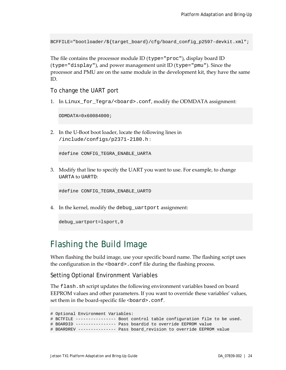BCFFILE="bootloader/\${target\_board}/cfg/board\_config\_p2597-devkit.xml";

The file contains the processor module ID (type="proc"), display board ID (type="display"), and power management unit ID (type="pmu"). Since the processor and PMU are on the same module in the development kit, they have the same ID.

To change the UART port

1. In Linux\_for\_Tegra/<board>.conf, modify the ODMDATA assignment:

ODMDATA=0x60084000;

2. In the U-Boot boot loader, locate the following lines in /include/configs/p2371-2180.h :

#define CONFIG\_TEGRA\_ENABLE\_UARTA

3. Modify that line to specify the UART you want to use. For example, to change UARTA to UARTD:

#define CONFIG\_TEGRA\_ENABLE\_UARTD

4. In the kernel, modify the debug\_uartport assignment:

debug uartport=lsport, 0

## <span id="page-23-0"></span>Flashing the Build Image

When flashing the build image, use your specific board name. The flashing script uses the configuration in the <board>.conf file during the flashing process.

Setting Optional Environment Variables

The flash.sh script updates the following environment variables based on board EEPROM values and other parameters. If you want to override these variables' values, set them in the board-specific file <board>.conf.

```
# Optional Environment Variables:
# BCTFILE ---------------- Boot control table configuration file to be used.
# BOARDID ---------------- Pass boardid to override EEPROM value
# BOARDREV --------------- Pass board_revision to override EEPROM value
```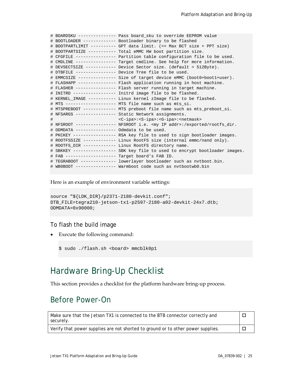|   |                                                  | # BOARDSKU -------------- Pass board_sku to override EEPROM value                    |
|---|--------------------------------------------------|--------------------------------------------------------------------------------------|
|   |                                                  | # BOOTLOADER ------------ Bootloader binary to be flashed                            |
|   |                                                  | # BOOTPARTLIMIT --------- GPT data limit. (== Max BCT size + PPT size)               |
|   |                                                  | # BOOTPARTSIZE ---------- Total eMMC HW boot partition size.                         |
|   |                                                  | # CFGFILE --------------- Partition table configuration file to be used.             |
|   |                                                  | # CMDLINE --------------- Target cmdline. See help for more information.             |
|   |                                                  | # DEVSECTSIZE ----------- Device Sector size. (default = 512Byte).                   |
|   |                                                  | # DTBFILE --------------- Device Tree file to be used.                               |
|   |                                                  | # EMMCSIZE -------------- Size of target device eMMC (boot0+boot1+user).             |
|   |                                                  | # FLASHAPP -------------- Flash application running in host machine.                 |
|   |                                                  | # FLASHER --------------- Flash server running in target machine.                    |
|   |                                                  | # INITRD ---------------- Initrd image file to be flashed.                           |
|   |                                                  | # KERNEL_IMAGE ---------- Linux kernel zImage file to be flashed.                    |
|   |                                                  | # MTS ------------------- MTS file name such as mts_si.                              |
|   |                                                  | # MTSPREBOOT ------------ MTS preboot file name such as mts_preboot_si.              |
|   |                                                  | # NFSARGS --------------- Static Network assignments.                                |
| # |                                                  | <c-ipa>:<s-ipa>:<g-ipa>:<netmask></netmask></g-ipa></s-ipa></c-ipa>                  |
|   |                                                  | # NFSROOT --------------- NFSROOT i.e. <my addr="" ip="">:/exported/rootfs_dir.</my> |
|   | # ODMDATA --------------- Odmdata to be used.    |                                                                                      |
|   |                                                  | # PKCKEY --------------- RSA key file to used to sign bootloader images.             |
|   |                                                  | # ROOTFSSIZE ------------ Linux RootFS size (internal emmc/nand only).               |
|   |                                                  | # ROOTFS_DIR ------------ Linux RootFS directory name.                               |
|   |                                                  | # SBKKEY ---------------- SBK key file to used to encrypt bootloader images.         |
|   | # FAB ------------------- Target board's FAB ID. |                                                                                      |
|   |                                                  | # TEGRABOOT ------------- lowerlayer bootloader such as nvtboot.bin.                 |
|   |                                                  | # WB0BOOT --------------- Warmboot code such as nvtbootwb0.bin                       |
|   |                                                  |                                                                                      |

Here is an example of environment variable settings:

```
source "${LDK_DIR}/p2371-2180-devkit.conf";
DTB_FILE=tegra210-jetson-tx1-p2597-2180-a02-devkit-24x7.dtb;
ODMDATA=0x90000;
```
#### To flash the build image

• Execute the following command:

```
$ sudo ./flash.sh <board> mmcblk0p1
```
## <span id="page-24-0"></span>Hardware Bring-Up Checklist

This section provides a checklist for the platform hardware bring-up process.

#### <span id="page-24-1"></span>Before Power-On

| Make sure that the Jetson TX1 is connected to the BTB connector correctly and<br>securely. |                                                                                  |  |
|--------------------------------------------------------------------------------------------|----------------------------------------------------------------------------------|--|
|                                                                                            | Verify that power supplies are not shorted to ground or to other power supplies. |  |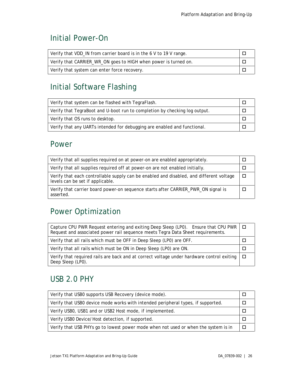## <span id="page-25-0"></span>Initial Power-On

| Verify that VDD_IN from carrier board is in the 6 V to 19 V range. |  |
|--------------------------------------------------------------------|--|
| Verify that CARRIER_WR_ON goes to HIGH when power is turned on.    |  |
| Verify that system can enter force recovery.                       |  |

# <span id="page-25-1"></span>Initial Software Flashing

| Verify that system can be flashed with TegraFlash.                         |  |
|----------------------------------------------------------------------------|--|
| Verify that TegraBoot and U-boot run to completion by checking log output. |  |
| Verify that OS runs to desktop.                                            |  |
| Verify that any UARTs intended for debugging are enabled and functional.   |  |

#### <span id="page-25-2"></span>Power

| Verify that all supplies required on at power-on are enabled appropriately.                                                 |  |
|-----------------------------------------------------------------------------------------------------------------------------|--|
| Verify that all supplies required off at power-on are not enabled initially.                                                |  |
| Verify that each controllable supply can be enabled and disabled, and different voltage<br>levels can be set if applicable. |  |
| Verify that carrier board power-on sequence starts after CARRIER_PWR_ON signal is<br>asserted.                              |  |

## <span id="page-25-3"></span>Power Optimization

| Capture CPU PWR Request entering and exiting Deep Sleep (LP0). Ensure that CPU PWR $\Box$<br>Request and associated power rail sequence meets Tegra Data Sheet requirements. |    |
|------------------------------------------------------------------------------------------------------------------------------------------------------------------------------|----|
| Verify that all rails which must be OFF in Deep Sleep (LP0) are OFF.                                                                                                         |    |
| Verify that all rails which must be ON in Deep Sleep (LP0) are ON.                                                                                                           |    |
| Verify that required rails are back and at correct voltage under hardware control exiting<br>Deep Sleep (LP0).                                                               | ▁□ |

## <span id="page-25-4"></span>USB 2.0 PHY

| Verify that USB0 supports USB Recovery (device mode).                               |  |
|-------------------------------------------------------------------------------------|--|
| Verify that USB0 device mode works with intended peripheral types, if supported.    |  |
| Verify USB0, USB1 and or USB2 Host mode, if implemented.                            |  |
| Verify USB0 Device/Host detection, if supported.                                    |  |
| Verify that USB PHYs go to lowest power mode when not used or when the system is in |  |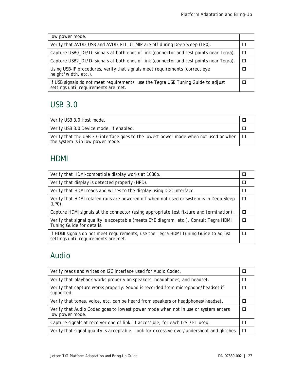| low power mode.                                                                                                           |  |
|---------------------------------------------------------------------------------------------------------------------------|--|
| Verify that AVDD_USB and AVDD_PLL_UTMIP are off during Deep Sleep (LP0).                                                  |  |
| Capture USB0_D+/D- signals at both ends of link (connector and test points near Tegra).                                   |  |
| Capture USB2_D+/D- signals at both ends of link (connector and test points near Tegra).                                   |  |
| Using USB-IF procedures, verify that signals meet requirements (correct eye<br>height/width, etc.).                       |  |
| If USB signals do not meet requirements, use the Tegra USB Tuning Guide to adjust<br>settings until requirements are met. |  |

## <span id="page-26-0"></span>USB 3.0

| Verify USB 3.0 Host mode.                                                                                                        |  |
|----------------------------------------------------------------------------------------------------------------------------------|--|
| Verify USB 3.0 Device mode, if enabled.                                                                                          |  |
| Verify that the USB 3.0 interface goes to the lowest power mode when not used or when $\Box$<br>the system is in low power mode. |  |

### <span id="page-26-1"></span>HDMI

| Verify that HDMI-compatible display works at 1080p.                                                                         | ш      |
|-----------------------------------------------------------------------------------------------------------------------------|--------|
| Verify that display is detected properly (HPD).                                                                             | П      |
| Verify that HDMI reads and writes to the display using DDC interface.                                                       |        |
| Verify that HDMI related rails are powered off when not used or system is in Deep Sleep<br>$(LP0)$ .                        | $\Box$ |
| Capture HDMI signals at the connector (using appropriate test fixture and termination).                                     | П      |
| Verify that signal quality is acceptable (meets EYE diagram, etc.). Consult Tegra HDMI<br>Tuning Guide for details.         | $\Box$ |
| If HDMI signals do not meet requirements, use the Tegra HDMI Tuning Guide to adjust<br>settings until requirements are met. |        |

# <span id="page-26-2"></span>Audio

| Verify reads and writes on I2C interface used for Audio Codec.                                        |  |
|-------------------------------------------------------------------------------------------------------|--|
| Verify that playback works properly on speakers, headphones, and headset.                             |  |
| Verify that capture works properly: Sound is recorded from microphone/headset if<br>supported.        |  |
| Verify that tones, voice, etc. can be heard from speakers or headphones/headset.                      |  |
| Verify that Audio Codec goes to lowest power mode when not in use or system enters<br>low power mode. |  |
| Capture signals at receiver end of link, if accessible, for each I2S I/FT used.                       |  |
| Verify that signal quality is acceptable. Look for excessive over/undershoot and glitches             |  |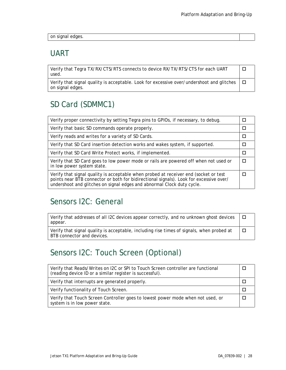<span id="page-27-0"></span>

|  | on signal edges. |
|--|------------------|
|  |                  |

#### UART

Verify that Tegra TX/RX/CTS/RTS connects to device RX/TX/RTS/CTS for each UART used.  $\Box$ 

Verify that signal quality is acceptable. Look for excessive over/undershoot and glitches on signal edges.  $\Box$ 

### <span id="page-27-1"></span>SD Card (SDMMC1)

| Verify proper connectivity by setting Tegra pins to GPIOs, if necessary, to debug.                                                                                                                                                                       |  |
|----------------------------------------------------------------------------------------------------------------------------------------------------------------------------------------------------------------------------------------------------------|--|
| Verify that basic SD commands operate properly.                                                                                                                                                                                                          |  |
| Verify reads and writes for a variety of SD Cards.                                                                                                                                                                                                       |  |
| Verify that SD Card insertion detection works and wakes system, if supported.                                                                                                                                                                            |  |
| Verify that SD Card Write Protect works, if implemented.                                                                                                                                                                                                 |  |
| Verify that SD Card goes to low power mode or rails are powered off when not used or<br>in low power system state.                                                                                                                                       |  |
| Verify that signal quality is acceptable when probed at receiver end (socket or test<br>points near BTB connector or both for bidirectional signals). Look for excessive over/<br>undershoot and glitches on signal edges and abnormal Clock duty cycle. |  |

### <span id="page-27-2"></span>Sensors I2C: General

Verify that addresses of all I2C devices appear correctly, and no unknown ghost devices appear.  $\Box$ 

Verify that signal quality is acceptable, including rise times of signals, when probed at BTB connector and devices.  $\Box$ 

### <span id="page-27-3"></span>Sensors I2C: Touch Screen (Optional)

| Verify that Reads/Writes on I2C or SPI to Touch Screen controller are functional<br>(reading device ID or a similar register is successful). |  |
|----------------------------------------------------------------------------------------------------------------------------------------------|--|
| Verify that interrupts are generated properly.                                                                                               |  |
| Verify functionality of Touch Screen.                                                                                                        |  |
| Verify that Touch Screen Controller goes to lowest power mode when not used, or<br>system is in low power state.                             |  |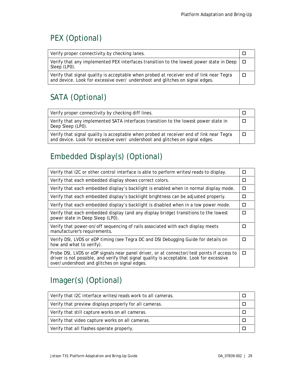# <span id="page-28-0"></span>PEX (Optional)

| Verify proper connectivity by checking lanes.                                                                                                                           |  |
|-------------------------------------------------------------------------------------------------------------------------------------------------------------------------|--|
| Verify that any implemented PEX interfaces transition to the lowest power state in Deep $\Box$<br>Sleep (LP0).                                                          |  |
| Verify that signal quality is acceptable when probed at receiver end of link near Tegra<br>and device. Look for excessive over/undershoot and glitches on signal edges. |  |

# <span id="page-28-1"></span>SATA (Optional)

| Verify proper connectivity by checking diff lines.                                                                                                                       |  |
|--------------------------------------------------------------------------------------------------------------------------------------------------------------------------|--|
| Verify that any implemented SATA interfaces transition to the lowest power state in<br>Deep Sleep (LP0).                                                                 |  |
| Verify that signal quality is acceptable when probed at receiver end of link near Tegra<br>and device. Look for excessive over/ undershoot and glitches on signal edges. |  |

# <span id="page-28-2"></span>Embedded Display(s) (Optional)

| Verify that I2C or other control interface is able to perform writes/reads to display.                                                                                                                                                  | П |
|-----------------------------------------------------------------------------------------------------------------------------------------------------------------------------------------------------------------------------------------|---|
| Verify that each embedded display shows correct colors.                                                                                                                                                                                 | п |
| Verify that each embedded display's backlight is enabled when in normal display mode.                                                                                                                                                   | □ |
| Verify that each embedded display's backlight brightness can be adjusted properly.                                                                                                                                                      | П |
| Verify that each embedded display's backlight is disabled when in a low power mode.                                                                                                                                                     | п |
| Verify that each embedded display (and any display bridge) transitions to the lowest<br>power state in Deep Sleep (LP0).                                                                                                                | п |
| Verify that power-on/off sequencing of rails associated with each display meets<br>manufacturer's requirements.                                                                                                                         | п |
| Verify DSI, LVDS or eDP timing (see Tegra DC and DSI Debugging Guide for details on<br>how and what to verify).                                                                                                                         | п |
| Probe DSI, LVDS or eDP signals near panel driver, or at connector/test points if access to<br>driver is not possible, and verify that signal quality is acceptable. Look for excessive<br>over/undershoot and glitches on signal edges. | П |

# <span id="page-28-3"></span>Imager(s) (Optional)

| Verify that I2C interface writes/reads work to all cameras. |  |
|-------------------------------------------------------------|--|
| Verify that preview displays properly for all cameras.      |  |
| Verify that still capture works on all cameras.             |  |
| Verify that video capture works on all cameras.             |  |
| Verify that all flashes operate properly.                   |  |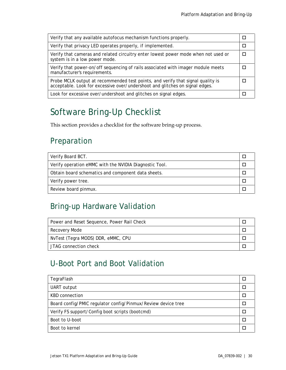| Verify that any available autofocus mechanism functions properly.                                                                                               |  |
|-----------------------------------------------------------------------------------------------------------------------------------------------------------------|--|
| Verify that privacy LED operates properly, if implemented.                                                                                                      |  |
| Verify that cameras and related circuitry enter lowest power mode when not used or<br>system is in a low power mode.                                            |  |
| Verify that power-on/off sequencing of rails associated with imager module meets<br>manufacturer's requirements.                                                |  |
| Probe MCLK output at recommended test points, and verify that signal quality is<br>acceptable. Look for excessive over/undershoot and glitches on signal edges. |  |
| Look for excessive over/undershoot and glitches on signal edges.                                                                                                |  |

# <span id="page-29-0"></span>Software Bring-Up Checklist

This section provides a checklist for the software bring-up process.

### <span id="page-29-1"></span>Preparation

| Verify Board BCT.                                      |  |
|--------------------------------------------------------|--|
| Verify operation eMMC with the NVIDIA Diagnostic Tool. |  |
| Obtain board schematics and component data sheets.     |  |
| Verify power tree.                                     |  |
| Review board pinmux.                                   |  |

## <span id="page-29-2"></span>Bring-up Hardware Validation

| Power and Reset Sequence, Power Rail Check |  |
|--------------------------------------------|--|
| Recovery Mode                              |  |
| NvTest (Tegra MODS) DDR, eMMC, CPU         |  |
| JTAG connection check                      |  |

## <span id="page-29-3"></span>U-Boot Port and Boot Validation

| TegraFlash                                                   |  |
|--------------------------------------------------------------|--|
| UART output                                                  |  |
| KBD connection                                               |  |
| Board config/PMIC regulator config/Pinmux/Review device tree |  |
| Verify FS support/Config boot scripts (bootcmd)              |  |
| Boot to U-boot                                               |  |
| Boot to kernel                                               |  |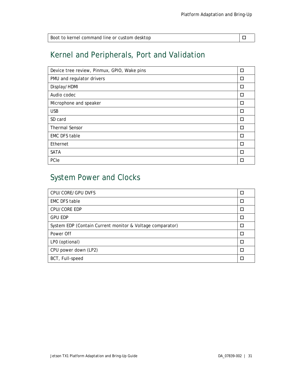| Boot to kernel command line or custom desktop |  |
|-----------------------------------------------|--|

## <span id="page-30-0"></span>Kernel and Peripherals, Port and Validation

| Device tree review, Pinmux, GPIO, Wake pins | П      |
|---------------------------------------------|--------|
| PMU and regulator drivers                   | П      |
| Display/HDMI                                | П      |
| Audio codec                                 | □      |
| Microphone and speaker                      | П      |
| <b>USB</b>                                  | $\Box$ |
| SD card                                     | $\Box$ |
| <b>Thermal Sensor</b>                       | П      |
| <b>EMC DFS table</b>                        | П      |
| Ethernet                                    | П      |
| <b>SATA</b>                                 | П      |
| PCIe                                        | П      |

# <span id="page-30-1"></span>System Power and Clocks

| CPU/CORE/GPU DVFS                                         | □ |
|-----------------------------------------------------------|---|
| <b>EMC DFS table</b>                                      | □ |
| CPU/CORE EDP                                              | П |
| <b>GPU EDP</b>                                            | П |
| System EDP (Contain Current monitor & Voltage comparator) | П |
| Power Off                                                 | П |
| LP0 (optional)                                            | П |
| CPU power down (LP2)                                      | П |
| BCT, Full-speed                                           | П |